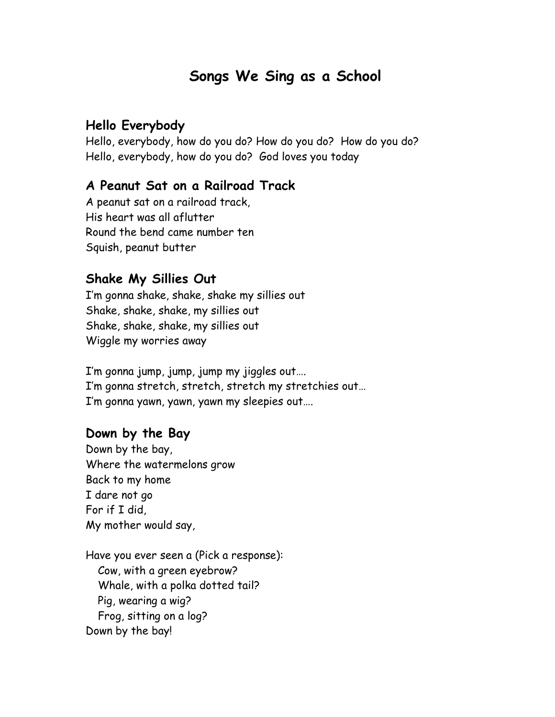# **Songs We Sing as a School**

#### **Hello Everybody**

Hello, everybody, how do you do? How do you do? How do you do? Hello, everybody, how do you do? God loves you today

### **A Peanut Sat on a Railroad Track**

A peanut sat on a railroad track, His heart was all aflutter Round the bend came number ten Squish, peanut butter

#### **Shake My Sillies Out**

I'm gonna shake, shake, shake my sillies out Shake, shake, shake, my sillies out Shake, shake, shake, my sillies out Wiggle my worries away

I'm gonna jump, jump, jump my jiggles out…. I'm gonna stretch, stretch, stretch my stretchies out… I'm gonna yawn, yawn, yawn my sleepies out….

#### **Down by the Bay**

Down by the bay, Where the watermelons grow Back to my home I dare not go For if I did, My mother would say,

Have you ever seen a (Pick a response): Cow, with a green eyebrow? Whale, with a polka dotted tail? Pig, wearing a wig? Frog, sitting on a log? Down by the bay!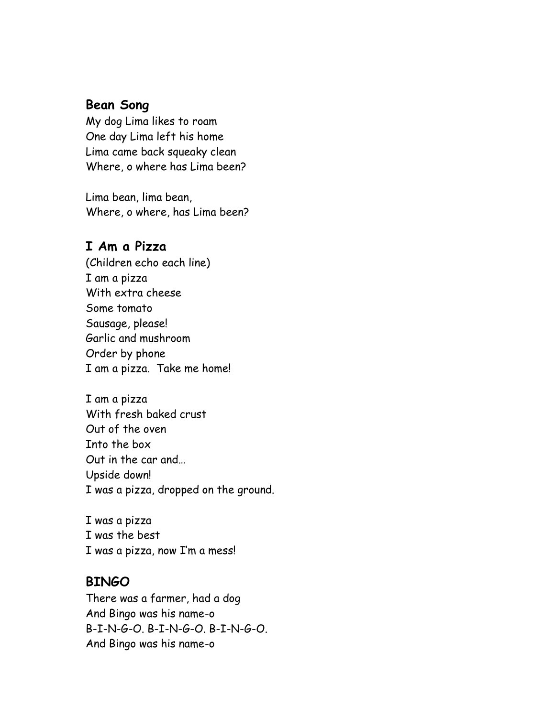#### **Bean Song**

My dog Lima likes to roam One day Lima left his home Lima came back squeaky clean Where, o where has Lima been?

Lima bean, lima bean, Where, o where, has Lima been?

#### **I Am a Pizza**

(Children echo each line) I am a pizza With extra cheese Some tomato Sausage, please! Garlic and mushroom Order by phone I am a pizza. Take me home!

I am a pizza With fresh baked crust Out of the oven Into the box Out in the car and… Upside down! I was a pizza, dropped on the ground.

I was a pizza I was the best I was a pizza, now I'm a mess!

#### **BINGO**

There was a farmer, had a dog And Bingo was his name-o B-I-N-G-O. B-I-N-G-O. B-I-N-G-O. And Bingo was his name-o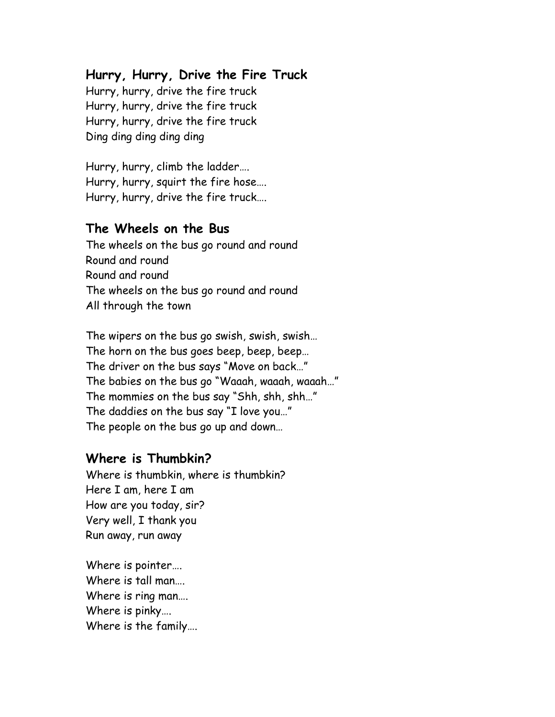#### **Hurry, Hurry, Drive the Fire Truck**

Hurry, hurry, drive the fire truck Hurry, hurry, drive the fire truck Hurry, hurry, drive the fire truck Ding ding ding ding ding

Hurry, hurry, climb the ladder…. Hurry, hurry, squirt the fire hose…. Hurry, hurry, drive the fire truck….

#### **The Wheels on the Bus**

The wheels on the bus go round and round Round and round Round and round The wheels on the bus go round and round All through the town

The wipers on the bus go swish, swish, swish… The horn on the bus goes beep, beep, beep… The driver on the bus says "Move on back…" The babies on the bus go "Waaah, waaah, waaah…" The mommies on the bus say "Shh, shh, shh…" The daddies on the bus say "I love you…" The people on the bus go up and down…

#### **Where is Thumbkin?**

Where is thumbkin, where is thumbkin? Here I am, here I am How are you today, sir? Very well, I thank you Run away, run away

Where is pointer…. Where is tall man…. Where is ring man…. Where is pinky…. Where is the family….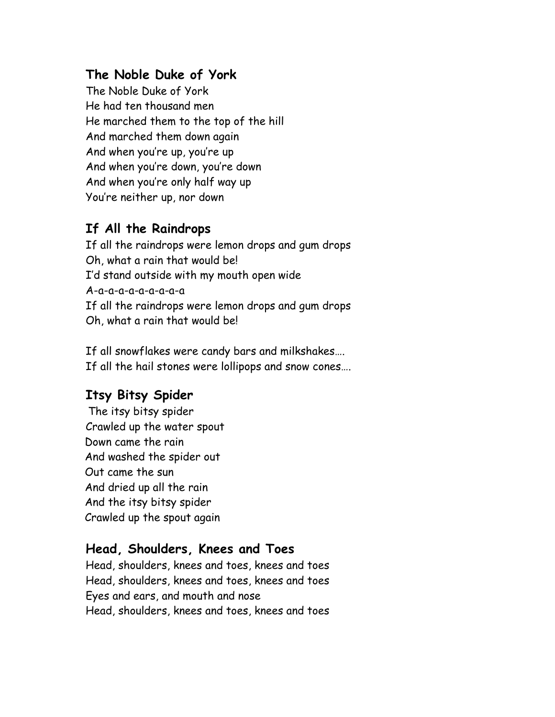### **The Noble Duke of York**

The Noble Duke of York He had ten thousand men He marched them to the top of the hill And marched them down again And when you're up, you're up And when you're down, you're down And when you're only half way up You're neither up, nor down

### **If All the Raindrops**

If all the raindrops were lemon drops and gum drops Oh, what a rain that would be! I'd stand outside with my mouth open wide A-a-a-a-a-a-a-a-a-a If all the raindrops were lemon drops and gum drops Oh, what a rain that would be!

If all snowflakes were candy bars and milkshakes…. If all the hail stones were lollipops and snow cones….

### **Itsy Bitsy Spider**

 The itsy bitsy spider Crawled up the water spout Down came the rain And washed the spider out Out came the sun And dried up all the rain And the itsy bitsy spider Crawled up the spout again

#### **Head, Shoulders, Knees and Toes**

Head, shoulders, knees and toes, knees and toes Head, shoulders, knees and toes, knees and toes Eyes and ears, and mouth and nose Head, shoulders, knees and toes, knees and toes